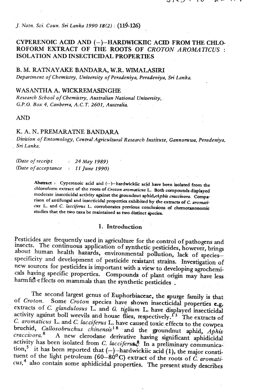## *J. Natn. Sci. Coun. Sri Lanka 1990* **18(2)** : **(114-126)**

# CYPERENOIC ACD AND **(-)-HARDWIGKIIC ACID** FROM THE **CHLO-**ROFORM EXTRACT OF THE ROOTS OF *CROTON AROMATICUS* : ISOLATION AND INSECTICIDAL PROPERTIES

**B. M. RATNAYAKE** *BANDARA,* **W.R. WIMALASIRI**  *Department of Chemistry, University of Peradeniya, Peradeniya,* **Sn** *Lanka.* 

## WASANTHA A. **WICKREMASINGHE**

*Research School of Chemistry, Australian National University,* . *G.P.O. Box 4, Canbewa, A.C. T. 2601, Australia.* 

#### AND

## K. A. N. **PREMARATNE** BANDARA

*Division of Entomology, Ceneal Agn'culmral Research Institute, Gannonrwa, Peradeniya,*  , *Sn' Lanka.* 

*(Date* of *receip t* : *24 May 1989) (Date* of *accep tance* : *11 June 1990)* 

> Abstract : Cyperenoic acid and (-)-hardwickiic acid have been isolated from the **chloroform extract of the roots of Croton aromaticus L. Both compounds displayed**  moderate insecticidal activity against the groundnut aphid /Apbis craccivora. Compa**rison of antifungal and insecticidal properties exhibited by the extracts of C.** *ammati*cus L. and C. *lacciferus* L. corroborates previous conclusions of chemotaxonomic **studies that the two taxa be maintained as two diict Species.**

#### I. Introduction

Pesticides are frequently used in agriculture for the control of pathogens and insects. The contmuous application of synthetic pesticides, however, **brings**  about human health hazards, environmental pollution, lack of speciesspecificity and development of pesticide resistant strains. Investigation of new sources for pesticides is important with a view to developing agrochemicals having specific properties. Compounds of plant origin may have less harmful effects on mammals than the synthetic pesticides .

The second largest genus of Euphorbiaceac, the **spurge** family is that of *Croton.* Some *Croton* species have shown insecticidal properties **c.g;**  extracts of *C. glandulosus* L. and *G. tiglium* L. have displayed insecticidal ctivity against boll weevils and house flies, respectively.  $^{13}$  The extracts of *C. aromaticus* L. and *C. lacciferus* L. have caused toxic effects to the cowpea bruchid, *Callosobruchus chinensis*<sup>18</sup> and the groundnut aphid, *Aphis cra~civora.~* A new clerodane derivative having **significant** aphidicidal activity has been isolated from *C. lacciferus*.<sup>8</sup> In a preliminary communica-. tion,<sup>5</sup> it has been reported that  $(-)$  -hardwickiic acid (1), the major constituent of the light petroleum (60-80<sup>°</sup>C) extract of the roots of *C. aromati-CUS,~* also contain some aphidicidal properties. The present study describes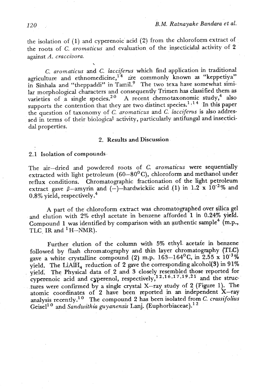the isolation of (I) and cyperenoic acid **(2)** from the chloroform extract of the roots of C. *aromaticus* and evaluation of the insecticidal activity of 2 against A. *craccivora.* 

C. *aromaticus* and *C. lacciferus* which find application in traditional priculture and ethnomedicine,<sup> $1^4$ </sup> are commonly known as "keppetiya" in Sinhala and "theppaddi" in Tamil.<sup>9</sup> The two texa have somewhat similar morphological characters and consequently Trimen has classified them as varieties of a single species.<sup>20</sup> A recent chemotaxonomic study,<sup>4</sup> also supports the contention that they are two distinct species.<sup>1,14</sup> In this paper the question of taxonomy of *C. aromaticus* and *C. lacciferus* is also addressed in terms of their biological activity, particularly antifungal and insecticidal properties.

#### 2. Results **and** Discussion

2.1 Isolation of compounds.

The air-dried and powdered roots of *C. aromaticus* were sequentially extracted with light petroleum (60-80°c), chloroform and methanol under reflux conditions. Chromatographic fractionation of the light petroleum extract gave  $\beta$ -amyrin and  $(-)$ -hardwickiic acid (1) in 1.2 **x** 10<sup>-2</sup>% and 0.8% yield, respectively.4

A part of the. chloroform extract was chromatographed over **silica** gel and elution with 2% ethyl acetate in benzene afforded 1 in 0.24% **yieid.**  Compound 1 was identified by comparison with an authentic sample<sup>4</sup> (m.p., TLC<sub>.</sub> IR and <sup>1</sup>H-NMR).

Further elution of the column with 5% ethyl. acetafe in benzene followed by flash chromatography **and thin** Iayer chromatography (TLC) gave a white crystalline compound (2) m.p. 163-164<sup>0</sup>C, in 2.55 x 10<sup>-3</sup>% yield. The LiAlH<sub>4</sub> reduction of 2 gave the corresponding alcohol(3) in 91% yield: The Physical data of 2 and 3 closely resembled those reported for cyperenoic acid and cyperenol, respectively,<sup>12,16,17,19,21</sup> and the structures were confirmed by a single crystal X-ray study of 2 (Figure 1). The atomic coordinates of 2 have been reported in an independent X-ray analysis recently.<sup>10</sup> The compound 2 has been isolated from *C. crassifolius*  $\text{Geisel}^{10}$  and *Sandwithia guyanensis* Lanj. (Euphorbiaceae).<sup>12</sup>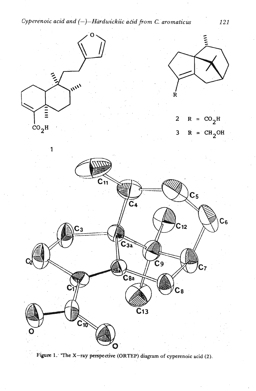*Cyperenoic acid and (-)-Hurdwickiic acid from C. aromaticus* 121



Figure 1. 'The X-ray perspective (ORTEP) diagram of cyperenoic acid (2).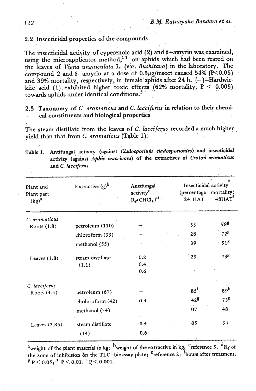# 2.2 Insecticidal properties of the compounds

The insecticidal activity of cyperenoic acid  $(2)$  and  $\beta$ -amyrin was examined. using the microapplicator method,<sup>11</sup> on aphids which had been reared on the leaves of *Vigna unguiculata* L. **(var.** *Bushitavo) in* the laboratory. The compound 2 and  $\beta$ -amyrin at a dose of  $0.5\mu$ g/insect caused 54% (P<0.05) and 39% mortality, respectively, in female aphids after 24 h.  $(-)$ -Hardwickiic acid (1) exhibited higher toxic effects  $(62\% \text{ mortality}, P < 0.005)$ towards aphids under identical conditions.<sup>5</sup>

2.3 Taxonomy of C. *aromaticus* and C. *lacciferus* in relation to their chemical constituents and biological properties

The steam distillate from the leaves of C. *lacciferus* recorded a much higher .yield than that fiomC. *aromaticus* (Table **1).** 

Table 1. Antifungal activity (against *Cladosporium cladosporioides*) and insecticidal **activity (against** *Aphis craccivora)* **of the kxtraitives. of** *Croton.aromsticus and C. lacciferus* 

| Plant and<br>Plant part<br>$(kg)^a$ | Extractive $(g)^b$ | Antifungal<br>activity <sup>c</sup><br>$R_f$ (CHCl <sub>3</sub> ) <sup>d</sup> | Insecticidal activity<br>(percentage mortality)<br>24 HAT | $48$ HAT        |
|-------------------------------------|--------------------|--------------------------------------------------------------------------------|-----------------------------------------------------------|-----------------|
| C. aromaticus                       |                    |                                                                                | 33                                                        | 788             |
| Roots (1.8)                         | petroleum (110)    |                                                                                |                                                           |                 |
|                                     | chloroform (33)    |                                                                                | 28                                                        | $72^g$          |
|                                     | methanol (55)      |                                                                                | 39                                                        | 51 <sup>g</sup> |
| Leaves $(1.8)$                      | steam distillate   | 0.2                                                                            | 29                                                        | 738             |
|                                     | (1.1)              | 0.4                                                                            |                                                           |                 |
|                                     |                    | 0.6                                                                            |                                                           |                 |
| C. lacciferus                       |                    |                                                                                |                                                           |                 |
| Roots (4.5)                         | petroleum (67)     |                                                                                | $85^{\mathrm{i}}$                                         | 89 <sup>h</sup> |
|                                     | choloroform (42)   | 0.4                                                                            | $42^{\frac{g}{2}}$                                        | 73 <sup>g</sup> |
|                                     | methanol (54)      |                                                                                | 07                                                        | 48              |
| Leaves $(2.85)$                     | steam distillate   | $-0.4$                                                                         | 05                                                        | 34              |
|                                     | (14)               | 0.6                                                                            |                                                           |                 |

<sup>a</sup>weight of the plant material in kg; <sup>b</sup>weight of the extractive in kg; <sup>c</sup>reference 5; <sup>d</sup>R<sub>f</sub> of the zone of inhibition on the TLC-bioassay plate; <sup>e</sup>reference 2; <sup>f</sup>hours after treatment;  $g \, p \, {\lt} \, 0.05;$   $\frac{h}{p} \, p \, {\lt} \, 0.01;$   $\frac{h}{p} \, {\lt} \, 0.001.$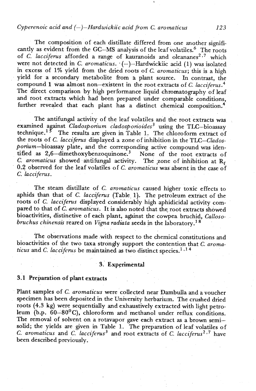## *Cyperenoic acid and (-)-Hardwickiic acid fiom C. aromaticus 123*

The composition of each distillate differed from one another significantly as evident from the GC-MS analysis of the leaf volatiles.<sup>6</sup> The roots of *C. lacciferus* afforded a range of kauranoids and oleananes<sup>2,7</sup> which were not detected in *C. aromaticus.*  $(-)$ -Hardwickiic acid (1) was isolated in excess of 1% yield from the dried roots of *C. aromaticus;* this is a high yield for a secondary metabolite from a plant source. In contrast, the compound 1 was almost non-existent in the root extracts of *C. lacciferus*.<sup>4</sup> The direct comparison by high performance liquid chromatography of leaf and root extracts which had been prepared under comparable conditions, further revealed that each plant has a distinct chemical composition.<sup>4</sup>

The antifungal activity of the leaf volatiles and the root extracts was examined against *Cladosporium cladosporioides<sup>3</sup>* using the TLC-bioassay technique.<sup>15</sup> The results are given in Table 1. The chloroform extract of the roots of *C. lacciferus* displayed a zone of inhibition in the *TLC-Clados*porium-bioassay plate, and the corresponding active compound was identified as 2,6-dimethoxybenzoquinone.<sup>3</sup> None of the root extracts of C. *aromaticus* showed antifungal activity. The zone of inhibition at  $R_f$ 0.2 observed for the leaf volatiles of *C. aromaticus* was absent in the case of *C. lacciferus.* 

The steam distillate of C. *aromaticus* caused higher toxic effects to aphids than that of *C. lacciferus* (Table 1). The petroleum extract of the roots of *C. lacciferus* displayed considerably high aphidicidal activity compared to that of *C. aromaticus*. It is also noted that the root extracts showed bioactivities, distinctive of each plant, a@inst the cowpea bruchid, *Callosobruchus chinensis* reared on *Vipa radiata* seeds *in* the laboratory.'

The observations made with respect to the chemical constitutions and bioactivities of the two taxa strongly support the contention that *C. aroma-*<br>*icus* and *C. lacciferus* be maintained as two distinct species.<sup>1,14</sup>

## **<sup>3</sup>**." **Experimental**

## 3.1 Preparation of plant extracts

Plant samples of C. *aromaticus* were collected near Dambulla and a voucher specimen has been deposited in the University herbarium. The crushed dried roots (4.3 kg) were sequentially and exhaustively extracted with light petroleum (b.p.  $60-80^{\circ}$ C), chloroform and methanol under reflux conditions. The removal of solvent on a rotavapor gave each extract as a brown semisolid; the yields are given in Table 1. The preparation of leaf volatiles of *C. aromaticus* and *C. lacciferus3* and root extracts of **C.** *lacciferus2* **p7** have been described previously.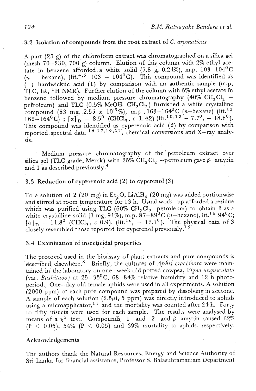# 3.2 Isolation of compounds from the root extract of **C.** *aromaticus*

A part (25 g) of the chloroform extract was chromatographed on a silica gel (mesh 70-230, 700 **g)** column. Elution of this column with 2% ethyl acetate in benzene afforded a white solid (7.8 g, 0.24%), m.p.  $103-104$ <sup>o</sup>C  $(n - \text{hexane})$ , (lit.<sup>4,5</sup> 103 - 104<sup>0</sup>C). This compound was identified as (-)--hardwickiic acid **(1)** by comparison with an authentic sample (m.p, TLC, IR, <sup>1</sup>H NMR). Further elution of the column with 5% ethyl acetate in benzene followed by medium pressure chromatography (40% CH<sub>2</sub>Cl<sub>2</sub> – petroleum) and TLC (0.5% MeOH-CH<sub>2</sub> Cl<sub>2</sub>) furnished a white crystalline  $\begin{align} \text{compound } \left( 83\ \text{mg,}\ 2.55\ \text{x\ } 10^{-3}\% \right),\ \text{m.p.}\ 162\!-\!164\text{}^{0}\text{C} \end{align} \begin{align} \text{Cl}_1\text{C} &\text{m.p.}\ \text{C} &\text{m.p.}\ \text{C} &\text{m.p.}\ \text{C} &\text{m.p.}\ \text{C} &\text{m.p.}\ \text{C} &\text{m.p.}\ \text{C} &\text{m.p.}\ \text{C} &\text{m.p.}\ \text{C} &\text{m.p.}\ \text{C} &\text{m.p.}\ \$ This compound was identified as cyperenoic acid (2) by comparison with reported spectral data  $16, 17, 19, 21$ , chemical conversions and X-ray analysis.

Medium pressure chromatography of the'petroleum extract over silica gel (TLC grade, Merck) with 25% CH<sub>2</sub>Cl<sub>2</sub> -petroleum gave  $\beta$ -amyrin and 1 as described previously.4

### 3.3 Reduction of cyperenoic acid  $(2)$  to cyperenol  $(3)$

To a solution of 2 (20 mg) in  $Et<sub>2</sub>O$ , LiAlH<sub>4</sub> (20 mg) was added portionwise and stirred at room temperature for 13 h. Usual work-up afforded a residue which was purified using TLC (60%  $CH_2Cl_2$ -petroleum) to obtain 3 as a white crystalline solid (1 mg, 91%), m.p.  $87-89^{6}$ C (n-hexane), lit.<sup>16</sup> 94<sup>0</sup>C;<br>[ $\alpha$ ]<sub>D</sub> -- 11.8<sup>0</sup> (CHCl<sub>3</sub>, c 0.9), (lit.<sup>16</sup>, -12.1<sup>0</sup>). The physical data of 3<br>closely resembled those reported for cyperenol previou

#### 3.4 Examination of insecticidal properties

The protocol used in the bioassay of plant extracts and pure compounds is described elsewhere.<sup>8</sup> Briefly, the cultures of *Aphis craccivora* were maintained in the laboratory on one-week old potted cowpea, *Vigna unguiculata*  (var. *Bushitavo*) at  $25-33^{\circ}$ C, 68-84% relative humidity and 12 h photoperiod. One-day old female aphids were used in all experiments. A solution (2000 ppm) of each pure compound was prepared by dissolving in acetone. **A** sample of each solution **(2.5pI,** 5 ppm) was directly introduced to aphids using a microapplicator,<sup>11</sup> and the mortality was counted after 24 h. Forty to fifty insects were used for each sample. The results were analysed by means of a  $\chi^2$  test. Compounds 1 and 2 and  $\beta$ -amyrin caused 62%  $(P < 0.05)$ , 54%  $(P < 0.05)$  and 39% mortality to aphids, respectively.

### Acknowledgements

The authors thank the Natural Resources, Energy and Science Authority of Sri Lanka for financial assistance, Professor S. Balasubramaniam Department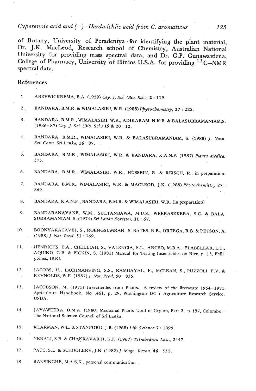*Cyperenoic acid and (-)-Hardwickiic acid fiom C. aromaticus 125* 

of Botany, University of Peradeniya - for identifying the plant material, Dr. J.K. MacLeod, Research school of Chemistry, Australian National University for providing mass spectral data, and Dr. G.P. Gunawardena, College of Pharmacy, University of Illinios U.S.A. for providing <sup>13</sup>C-NMR spectral data.

### References

- **<sup>1</sup>**ABEYWICKREMA, B.A. **(1959)** *Cey.* J. *Sci (Bio. Sci), 2* : **119.**
- **Z.,** BANDARA, B.M.R. & WIMALASIRI, W.R. **(1988)** *Phytochemisty,* 27 **r 225.**
- 3. BANDARA, B.M.R., WIMALASIRI, W.R., ADIKARAM, N.K.B. & BALASUBRAMANIAM,S. **(1986-87)** *Cey.* J. *Sci. (Bio. Sci.)* **19** & *20* : **12.**
- **4.** BANDARA, B.M.R., WIMALASIRI, W.R. & BALASUBRAMANIAM, S. **(1988)** J. *Natn. Sci. Coun. Sn' Lanka,* **<sup>16</sup>**: **87.**
- 5. BANDARA, B.M.R., WIMALASIRI, W.R. & BANDARA, K.A.N.P. (1987) Planta Medica, **575.**
- 6. BANDARA, B.M.R., WIMALASIRI, W.R., HUSSEIN, R. & REISCH, R., in preparation.
- 7. B~DARA, B.M.R., WIMALASIRI, W.R. & MACLEOD, **J.K. (1988)** *Phytocbemistry* **<sup>27</sup>**: **869.**
- BANDARA, K.A.N.P., BANDARA, B.M.R. & WIMALASIRI, W.R. (in preparation) 8.
- 9. BANDARANAYAKE, WM., SULTANBAWA, M.U.S., WEERASEKERA, S.C. & BALA-SUBRAMANIAM, S. **(1974)** *Sn' Lanka Forester,* **11** : **67.**
- 10. BOONYARATAVEJ, S., ROENGSUMRAN. S. BATES, R.B., ORTEGA, R.B. & PETSON, A. **(1988)** J. *Nut. Prod. 51* : **769.**
- HENRICHS, E.A., CHELLIAH, S., VALENCIA, S.L., ARCEO, M.B.A., FLABELLAR, L.T., 11. AQUINO, G.B. & PICKIN, S. **(1981)** Manual for Testing Insecticides on Rice, p. 13, Philippines, IRRI.
- JACOBS, H., LACHMANSING, S.S., RAMDAYAL, F., MCLEAN, S., PUZZOLI, F.V. & 12. REYNOLDS, W.F. **(1987)** J. *Nut. Prod. 50* : **835.**
- **13** JACOBSON, M. **(1975)** Insecticides from Plants. A review of the literature **1954-1971,**  Agriculture Handbook, No **.461,** p. **29,** Wa~hington DC ': Agriculture Research Service, USDA.
- **14.** JAYAWEERA, D.M.A. **(1980)** Medicinal **Plants** Used in Ceylon, Part 2, p. **197,** Colombo : **The** National Science Council of Sri Lanka.
- **15. KLARMAN,** W.L. & STANFORD, J.B. **(1968)** *Life Science* **<sup>7</sup>**: **1095.**
- **16.** NERALI, S.B. & CHAKRAVARTI, K.K. **(1967)** *Tetrahedron Lett.,* **2447.**
- **17. PAT'.** S.L. & SCHOOLERY, J.N. **(1982)** J. Magn. *Reson. 46:* **535.**
- **18.** , RANSINGHE, M.A.S:K., personal communication .